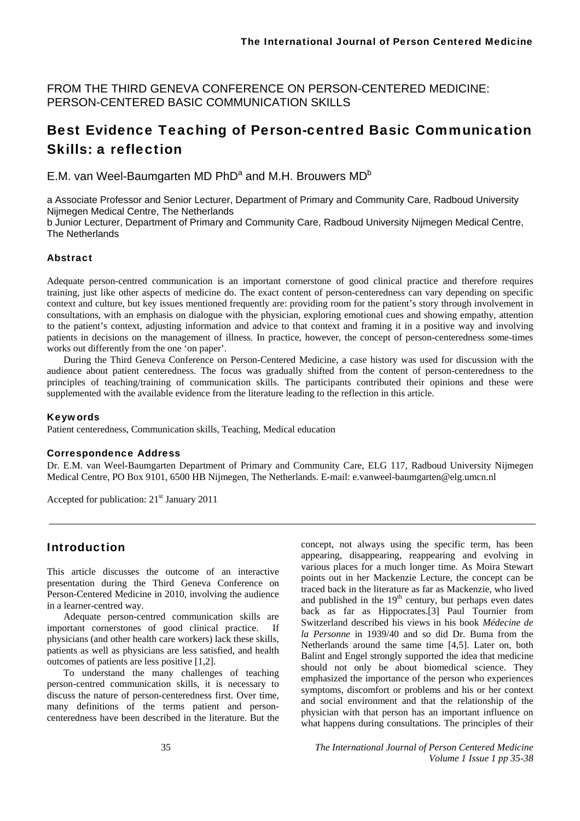FROM THE THIRD GENEVA CONFERENCE ON PERSON-CENTERED MEDICINE: PERSON-CENTERED BASIC COMMUNICATION SKILLS

# Best Evidence Teaching of Person-centred Basic Communication Skills: a reflection

E.M. van Weel-Baumgarten MD PhD<sup>a</sup> and M.H. Brouwers MD<sup>b</sup>

a Associate Professor and Senior Lecturer, Department of Primary and Community Care, Radboud University Nijmegen Medical Centre, The Netherlands

b Junior Lecturer, Department of Primary and Community Care, Radboud University Nijmegen Medical Centre, The Netherlands

#### Abstract

Adequate person-centred communication is an important cornerstone of good clinical practice and therefore requires training, just like other aspects of medicine do. The exact content of person-centeredness can vary depending on specific context and culture, but key issues mentioned frequently are: providing room for the patient's story through involvement in consultations, with an emphasis on dialogue with the physician, exploring emotional cues and showing empathy, attention to the patient's context, adjusting information and advice to that context and framing it in a positive way and involving patients in decisions on the management of illness. In practice, however, the concept of person-centeredness some-times works out differently from the one 'on paper'.

During the Third Geneva Conference on Person-Centered Medicine, a case history was used for discussion with the audience about patient centeredness. The focus was gradually shifted from the content of person-centeredness to the principles of teaching/training of communication skills. The participants contributed their opinions and these were supplemented with the available evidence from the literature leading to the reflection in this article.

#### Keywords

Patient centeredness, Communication skills, Teaching, Medical education

#### Correspondence Address

Dr. E.M. van Weel-Baumgarten Department of Primary and Community Care, ELG 117, Radboud University Nijmegen Medical Centre, PO Box 9101, 6500 HB Nijmegen, The Netherlands. E-mail: e.vanweel-baumgarten@elg.umcn.nl

Accepted for publication: 21<sup>st</sup> January 2011

### Introduction

This article discusses the outcome of an interactive presentation during the Third Geneva Conference on Person-Centered Medicine in 2010, involving the audience in a learner-centred way.

Adequate person-centred communication skills are important cornerstones of good clinical practice. If physicians (and other health care workers) lack these skills, patients as well as physicians are less satisfied, and health outcomes of patients are less positive [1,2].

To understand the many challenges of teaching person-centred communication skills, it is necessary to discuss the nature of person-centeredness first. Over time, many definitions of the terms patient and personcenteredness have been described in the literature. But the

concept, not always using the specific term, has been appearing, disappearing, reappearing and evolving in various places for a much longer time. As Moira Stewart points out in her Mackenzie Lecture, the concept can be traced back in the literature as far as Mackenzie, who lived and published in the  $19<sup>th</sup>$  century, but perhaps even dates back as far as Hippocrates.[3] Paul Tournier from Switzerland described his views in his book *Médecine de la Personne* in 1939/40 and so did Dr. Buma from the Netherlands around the same time [4,5]. Later on, both Balint and Engel strongly supported the idea that medicine should not only be about biomedical science. They emphasized the importance of the person who experiences symptoms, discomfort or problems and his or her context and social environment and that the relationship of the physician with that person has an important influence on what happens during consultations. The principles of their

35 *The International Journal of Person Centered Medicine Volume 1 Issue 1 pp 35-38*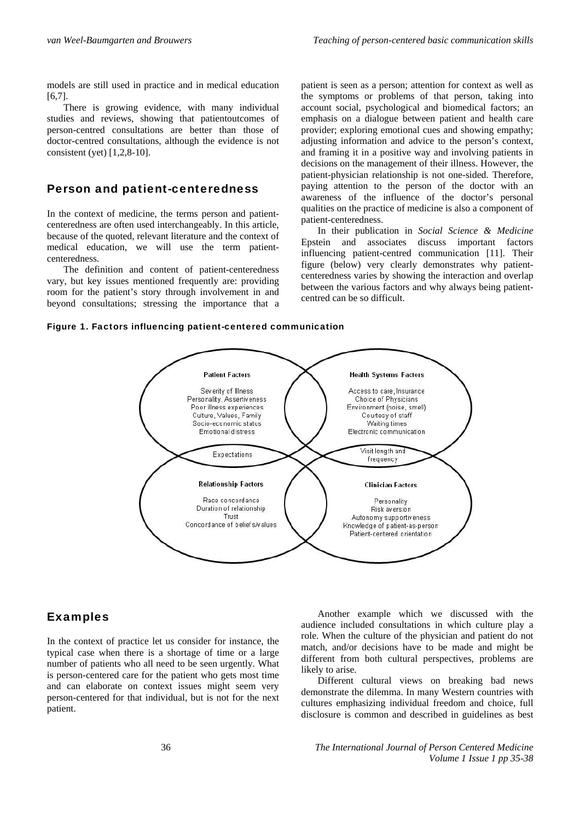models are still used in practice and in medical education [6,7].

There is growing evidence, with many individual studies and reviews, showing that patientoutcomes of person-centred consultations are better than those of doctor-centred consultations, although the evidence is not consistent (yet) [1,2,8-10].

### Person and patient-centeredness

In the context of medicine, the terms person and patientcenteredness are often used interchangeably. In this article, because of the quoted, relevant literature and the context of medical education, we will use the term patientcenteredness.

The definition and content of patient-centeredness vary, but key issues mentioned frequently are: providing room for the patient's story through involvement in and beyond consultations; stressing the importance that a patient is seen as a person; attention for context as well as the symptoms or problems of that person, taking into account social, psychological and biomedical factors; an emphasis on a dialogue between patient and health care provider; exploring emotional cues and showing empathy; adjusting information and advice to the person's context, and framing it in a positive way and involving patients in decisions on the management of their illness. However, the patient-physician relationship is not one-sided. Therefore, paying attention to the person of the doctor with an awareness of the influence of the doctor's personal qualities on the practice of medicine is also a component of patient-centeredness.

In their publication in *Social Science & Medicine* Epstein and associates discuss important factors influencing patient-centred communication [11]. Their figure (below) very clearly demonstrates why patientcenteredness varies by showing the interaction and overlap between the various factors and why always being patientcentred can be so difficult.





#### Examples

In the context of practice let us consider for instance, the typical case when there is a shortage of time or a large number of patients who all need to be seen urgently. What is person-centered care for the patient who gets most time and can elaborate on context issues might seem very person-centered for that individual, but is not for the next patient.

Another example which we discussed with the audience included consultations in which culture play a role. When the culture of the physician and patient do not match, and/or decisions have to be made and might be different from both cultural perspectives, problems are likely to arise.

Different cultural views on breaking bad news demonstrate the dilemma. In many Western countries with cultures emphasizing individual freedom and choice, full disclosure is common and described in guidelines as best

36 *The International Journal of Person Centered Medicine Volume 1 Issue 1 pp 35-38*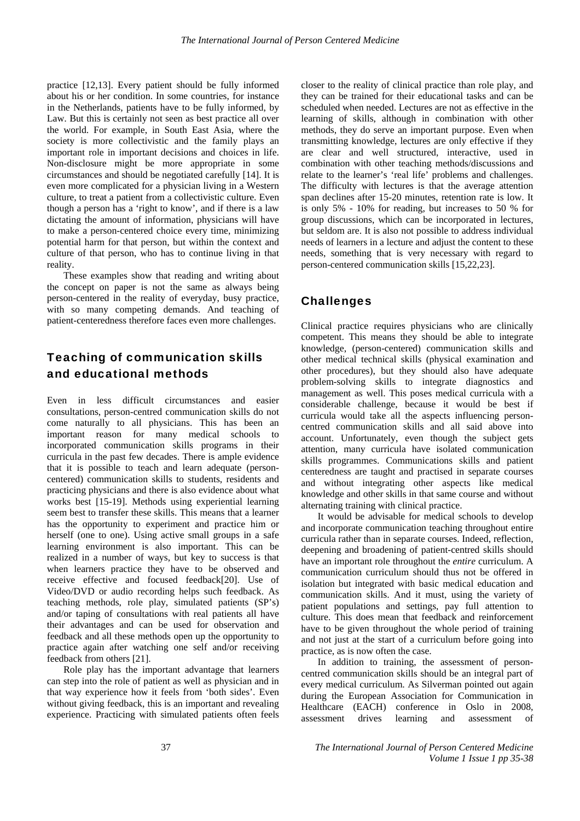practice [12,13]. Every patient should be fully informed about his or her condition. In some countries, for instance in the Netherlands, patients have to be fully informed, by Law. But this is certainly not seen as best practice all over the world. For example, in South East Asia, where the society is more collectivistic and the family plays an important role in important decisions and choices in life. Non-disclosure might be more appropriate in some circumstances and should be negotiated carefully [14]. It is even more complicated for a physician living in a Western culture, to treat a patient from a collectivistic culture. Even though a person has a 'right to know', and if there is a law dictating the amount of information, physicians will have to make a person-centered choice every time, minimizing potential harm for that person, but within the context and culture of that person, who has to continue living in that reality.

These examples show that reading and writing about the concept on paper is not the same as always being person-centered in the reality of everyday, busy practice, with so many competing demands. And teaching of patient-centeredness therefore faces even more challenges.

## Teaching of communication skills and educational methods

Even in less difficult circumstances and easier consultations, person-centred communication skills do not come naturally to all physicians. This has been an important reason for many medical schools to incorporated communication skills programs in their curricula in the past few decades. There is ample evidence that it is possible to teach and learn adequate (personcentered) communication skills to students, residents and practicing physicians and there is also evidence about what works best [15-19]. Methods using experiential learning seem best to transfer these skills. This means that a learner has the opportunity to experiment and practice him or herself (one to one). Using active small groups in a safe learning environment is also important. This can be realized in a number of ways, but key to success is that when learners practice they have to be observed and receive effective and focused feedback[20]. Use of Video/DVD or audio recording helps such feedback. As teaching methods, role play, simulated patients (SP's) and/or taping of consultations with real patients all have their advantages and can be used for observation and feedback and all these methods open up the opportunity to practice again after watching one self and/or receiving feedback from others [21].

Role play has the important advantage that learners can step into the role of patient as well as physician and in that way experience how it feels from 'both sides'. Even without giving feedback, this is an important and revealing experience. Practicing with simulated patients often feels

closer to the reality of clinical practice than role play, and they can be trained for their educational tasks and can be scheduled when needed. Lectures are not as effective in the learning of skills, although in combination with other methods, they do serve an important purpose. Even when transmitting knowledge, lectures are only effective if they are clear and well structured, interactive, used in combination with other teaching methods/discussions and relate to the learner's 'real life' problems and challenges. The difficulty with lectures is that the average attention span declines after 15-20 minutes, retention rate is low. It is only 5% - 10% for reading, but increases to 50 % for group discussions, which can be incorporated in lectures, but seldom are. It is also not possible to address individual needs of learners in a lecture and adjust the content to these needs, something that is very necessary with regard to person-centered communication skills [15,22,23].

## Challenges

Clinical practice requires physicians who are clinically competent. This means they should be able to integrate knowledge, (person-centered) communication skills and other medical technical skills (physical examination and other procedures), but they should also have adequate problem-solving skills to integrate diagnostics and management as well. This poses medical curricula with a considerable challenge, because it would be best if curricula would take all the aspects influencing personcentred communication skills and all said above into account. Unfortunately, even though the subject gets attention, many curricula have isolated communication skills programmes. Communications skills and patient centeredness are taught and practised in separate courses and without integrating other aspects like medical knowledge and other skills in that same course and without alternating training with clinical practice.

It would be advisable for medical schools to develop and incorporate communication teaching throughout entire curricula rather than in separate courses. Indeed, reflection, deepening and broadening of patient-centred skills should have an important role throughout the *entire* curriculum. A communication curriculum should thus not be offered in isolation but integrated with basic medical education and communication skills. And it must, using the variety of patient populations and settings, pay full attention to culture. This does mean that feedback and reinforcement have to be given throughout the whole period of training and not just at the start of a curriculum before going into practice, as is now often the case.

In addition to training, the assessment of personcentred communication skills should be an integral part of every medical curriculum. As Silverman pointed out again during the European Association for Communication in Healthcare (EACH) conference in Oslo in 2008, assessment drives learning and assessment of

37 *The International Journal of Person Centered Medicine Volume 1 Issue 1 pp 35-38*